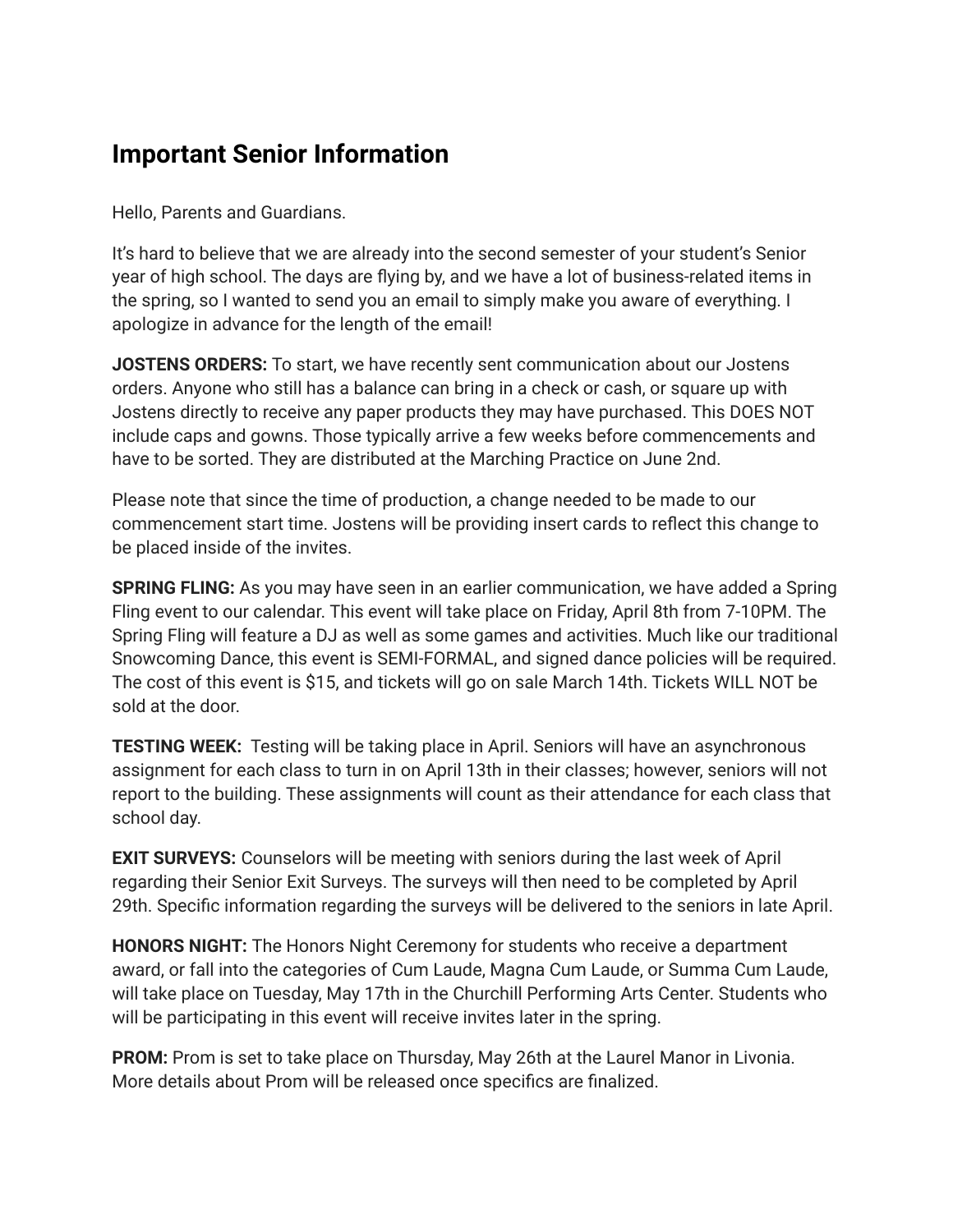## **Important Senior Information**

Hello, Parents and Guardians.

It's hard to believe that we are already into the second semester of your student's Senior year of high school. The days are flying by, and we have a lot of business-related items in the spring, so I wanted to send you an email to simply make you aware of everything. I apologize in advance for the length of the email!

**JOSTENS ORDERS:** To start, we have recently sent communication about our Jostens orders. Anyone who still has a balance can bring in a check or cash, or square up with Jostens directly to receive any paper products they may have purchased. This DOES NOT include caps and gowns. Those typically arrive a few weeks before commencements and have to be sorted. They are distributed at the Marching Practice on June 2nd.

Please note that since the time of production, a change needed to be made to our commencement start time. Jostens will be providing insert cards to reflect this change to be placed inside of the invites.

**SPRING FLING:** As you may have seen in an earlier communication, we have added a Spring Fling event to our calendar. This event will take place on Friday, April 8th from 7-10PM. The Spring Fling will feature a DJ as well as some games and activities. Much like our traditional Snowcoming Dance, this event is SEMI-FORMAL, and signed dance policies will be required. The cost of this event is \$15, and tickets will go on sale March 14th. Tickets WILL NOT be sold at the door.

**TESTING WEEK:** Testing will be taking place in April. Seniors will have an asynchronous assignment for each class to turn in on April 13th in their classes; however, seniors will not report to the building. These assignments will count as their attendance for each class that school day.

**EXIT SURVEYS:** Counselors will be meeting with seniors during the last week of April regarding their Senior Exit Surveys. The surveys will then need to be completed by April 29th. Specific information regarding the surveys will be delivered to the seniors in late April.

**HONORS NIGHT:** The Honors Night Ceremony for students who receive a department award, or fall into the categories of Cum Laude, Magna Cum Laude, or Summa Cum Laude, will take place on Tuesday, May 17th in the Churchill Performing Arts Center. Students who will be participating in this event will receive invites later in the spring.

**PROM:** Prom is set to take place on Thursday, May 26th at the Laurel Manor in Livonia. More details about Prom will be released once specifics are finalized.